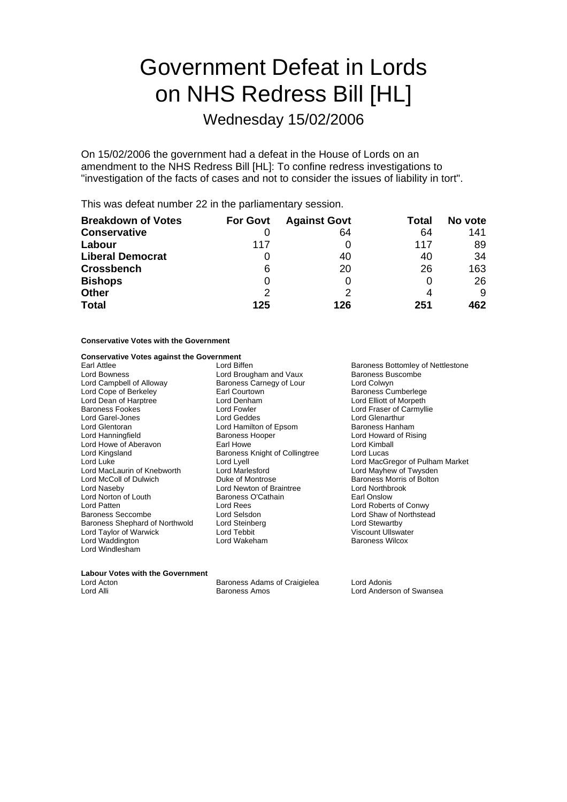# Government Defeat in Lords on NHS Redress Bill [HL]

Wednesday 15/02/2006

On 15/02/2006 the government had a defeat in the House of Lords on an amendment to the NHS Redress Bill [HL]: To confine redress investigations to "investigation of the facts of cases and not to consider the issues of liability in tort".

This was defeat number 22 in the parliamentary session.

| <b>Breakdown of Votes</b> | <b>For Govt</b> | <b>Against Govt</b> | Total | No vote |
|---------------------------|-----------------|---------------------|-------|---------|
| <b>Conservative</b>       |                 | 64                  | 64    | 141     |
| Labour                    | 117             |                     | 117   | 89      |
| <b>Liberal Democrat</b>   |                 | 40                  | 40    | 34      |
| <b>Crossbench</b>         | 6               | 20                  | 26    | 163     |
| <b>Bishops</b>            | 0               |                     |       | 26      |
| <b>Other</b>              | 2               |                     |       | 9       |
| <b>Total</b>              | 125             | 126                 | 251   | 462     |

#### **Conservative Votes with the Government**

### **Conservative Votes against the Government**

Earl Attlee **Earl Attlee**<br>
Lord Bowness<br>
Lord Baroness Buscombe<br>
Lord Bowness<br>
Lord Baroness Buscombe Lord Bowness<br>
Lord Campbell of Alloway **Exercise Baroness Carnegy of Lour** Baroness Buscombe<br>
Lord Colwyn Lord Campbell of Alloway<br>
Lord Cope of Berkeley<br>
Earl Courtown Lord Dean of Harptree Baroness Fookes Lord Fowler Lord Fraser of Carmyllie Lord Garel-Jones Lord Geddes Lord Glenarthur Lord Glentoran **Lord Hamilton of Epsom** Baroness Hanham<br>
Lord Hanningfield **Baroness Hooper Baroness Hooper** Lord Howard of Ris Lord Howe of Aberavon **Earl Howe**<br>
Lord Kingsland **Earl Howe** Baroness Knight of Collingtree Lord Lucas Lord Kingsland Baroness Knight of Collingtree<br>
Lord Luke Lord Lyell Lord MacLaurin of Knebworth Lord Marlesford Lord Mayhew of Twysden Lord Naseby **Lord Newton of Braintree Lord Northbrook**<br>
Lord Norton of Louth **Baroness O'Cathain Lord Northbrook** Earl Onslow Lord Norton of Louth Baroness (<br>
Lord Patten Cord Rees Baroness Seccombe Lord Selsdon Lord Shaw of Northstead Baroness Shephard of Northwold Lord Steinberg Lord Stewartby Lord Taylor of Warwick Lord Tebbit<br>
Lord Waddington<br>
Lord Wakeham Lord Windlesham

- Earl Courtown **Company Courtown**<br>
Lord Cenham<br>
Lord Elliott of Morpeth Baroness Hooper **Lord Howard of Rising**<br>
Earl Howe **Lord Kimball Lord McColl of Montrose Baroness Morris of Bolton**<br>
Lord Newton of Braintree **Baroness Morris of Bolton** Lord Rees<br>
Lord Selsdon<br>
Lord Selsdon<br>
Lord Shaw of Northstea
	- Lord MacGregor of Pulham Market Baroness Wilcox

### **Labour Votes with the Government**<br>Lord Acton

Lord Acton Baroness Adams of Craigielea Lord Adonis

Lord Anderson of Swansea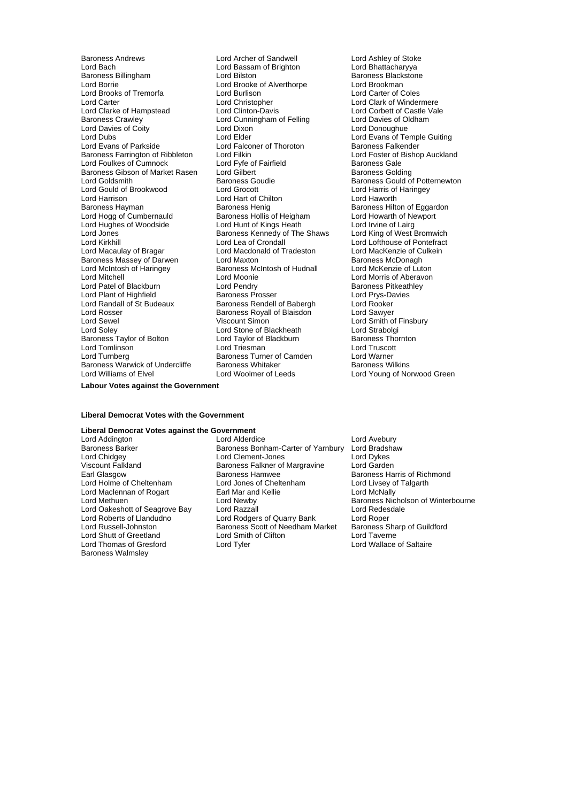Lord Bach Lord Bassam of Brighton<br>
Baroness Billingham Cord Bilston Lord Borrie <sup>V</sup> Lord Brooke of Alverthorpe Cord Brookman<br>
Lord Brooks of Tremorfa Cord Burlison Cord Carter of Coles Lord Brooks of Tremorfa<br>
Lord Carter **Lord Christopher**<br>
Lord Christopher Lord Carter Lord Christopher Lord Christopher Lord Clark of Windermere<br>
Lord Clarke of Hampstead Lord Clinton-Davis Lord Corbett of Castle Val Lord Clarke of Hampstead Lord Clinton-Davis Lord Corbett of Castle Vale<br>
Baroness Crawley Lord Cunningham of Felling Lord Davies of Oldham Lord Davies of Coity Lord Dixon<br>
Lord Dubs<br>
Lord Elder Lord Dubs<br>
Lord Evans of Parkside<br>
Lord Evans of Parkside<br>
Lord Evans of Parkside<br>
Lord Evans of Parkside<br>
Lord Evans of Parkside<br>
Lord Evans of Parkside Baroness Farrington of Ribbleton Lord Filkin Lord Farrington Cord Foster of E<br>
Lord Foulkes of Cumnock Lord Fvfe of Fairfield Caroness Gale Lord Foulkes of Cumnock Lord Fyfe of Fairfield Baroness Gale<br>
Baroness Gibson of Market Rasen Lord Gilbert Cumment Baroness Golding Baroness Gibson of Market Rasen Lord Gilbert<br>Lord Goldsmith Baroness Goudie Lord Goldsmith Baroness Goudie All Decrees Gould of Potternewton<br>
Lord Gould of Brookwood Lord Grocott Lord Harris of Haringey Lord Gould of Brookwood Lord Grocott Lord Harris of Lord Harris of Lord Harris of Lord Harris of Lord Haventh<br>Lord Harrison Lord Haventh Lord Harris of Lord Hawarth Lord Harrison Lord Hart of Chilton<br>Baroness Hayman Baroness Henig Lord Hogg of Cumbernauld Baroness Hollis of Heigham Lord Howarth of New<br>
Lord Hughes of Woodside Lord Hunt of Kings Heath Lord Irvine of Lairg Lord Hughes of Woodside Lord Hunt of Kings Heath Lord Irvine of Lairg<br>
Lord Jones Corp Baroness Kennedy of The Shaws Lord King of West Bromwich Lord Kirkhill Lord Lea of Crondall Lord Lofthouse of Pontefract Baroness Massey of Darwen Lord Maxton Cord Caroness Menomess McDonagh<br>
Lord McIntosh of Haringey Baroness McIntosh of Hudnall Lord McKenzie of Luton Lord McIntosh of Haringey Lord Mitchell **Lord Moonie** Lord Moonie **Lord Lord Lord Moonie** Lord Aberavon<br>
Lord Patel of Blackburn **Lord Pendry Communication** Baroness Pitkeathley Lord Patel of Blackburn **Lord Pendry** Cord Pendry **Baroness Pitkeath**<br>
Lord Plant of Highfield **Baroness Prosser Baroness Prosser** Lord Prys-Davies Lord Plant of Highfield **Baroness Prosser** Baroness Prosser Lord Prys-David Prys-David Prys-David Baroness Rendell of Babergh Lord Rooker Lord Randall of St Budeaux Baroness Rendell of Babergh Lord Rooker<br>
Lord Rosser Cord Sawyer Baroness Royall of Blaisdon Lord Sawyer Lord Rosser **Baroness Royall of Blaisdon**<br>
Lord Sewel **Baroness Royall Of Blaisdon** Lord Soley Lord Stone of Blackheath Lord Strabolgi Baroness Taylor of Bolton **Lord Taylor of Blackburn** Baroness Thornton Lord Tomlinson Lord Triesman Lord Truscott Baroness Warwick of Undercliffe Baroness Whitaker Lord Williams of Elvel Lord Woolmer of Leeds Lord Young of Norwood Green

Baroness Andrews **Example 2** Lord Archer of Sandwell **Lord Ashley of Stoke**<br>
Lord Bach Lord Bassam of Brighton **Lord Bassam Condensing** Lord Bhattacharyya Lord Cunningham of Felling Lord Davies of Ol<br>
Lord Dixon<br>
Lord Donoughue Lord Falconer of Thoroton **Baroness Falkender** Cord Filking Lord Foster of Bishop Auckland Baroness Henig<br>
Baroness Hollis of Heigham
Baroness Hollis of Heigham
Lord Howarth of Newport Baroness Kennedy of The Shaws Lord Macdonald of Tradeston Lord MacKenzie of Culture<br>
Lord Maxton Culcein Baroness McDonagh Viscount Simon Lord Smith of Finsbury<br>
Lord Strabolgi<br>
Lord Strabolgi Baroness Turner of Camden Lord Warner<br>
Baroness Whitaker<br>
Baroness Wilkins

Baroness Blackstone

#### **Labour Votes against the Government**

#### **Liberal Democrat Votes with the Government**

#### **Liberal Democrat Votes against the Government**

Viscount Falkland Falkland Baroness Falkner of Margravine<br>Earl Glasgow Baroness Hamwee Lord Maclennan of Rogart **Earl Mar and Lord Methuen**<br>
Lord Methuen **Conditional** Lord Thomas of Gresford Baroness Walmsley

Lord Addington **Lack Construction Lord Alderdice** Lord Anderdice<br>Baroness Barker **Baroness Bonham-Carter of Yarnbury** Lord Bradshaw Baroness Barker Baroness Bonham-Carter of Yarnbury Lord Bradshaw<br>Lord Chidgey Lord Dukes Lord Clement-Jones Lord Dukes Lord Chidgey Lord Clement-Jones Lord Dykes Earoness Hamwee Baroness Harris of Richmond<br>
Lord Jones of Cheltenham<br>
Lord Livsey of Talgarth Lord Holme of Cheltenham Lord Jones of Cheltenham Lord Livsey of Cheltenham Lord Livsey of Talgartham Lord McNally Lord Oakeshott of Seagrove Bay Lord Razzall<br>Lord Roberts of Llandudno Lord Rodgers of Quarry Bank Lord Roper Lord Roberts of Llandudno<br>
Lord Russell-Johnston Baroness Scott of Needham Market Baroness Sharp of Guildford Lord Russell-Johnston Baroness Scott of Needham Market Baroness Sharp of Needham Market Baroness Sharp of Guil<br>
Lord Shutt of Greetland Lord Smith of Clifton Lord Taverne Lord Smith of Clifton Lord Taverne Lord Taverne<br>
Lord Tyler Lord Wallace of Saltaire

**Baroness Nicholson of Winterbourne**<br>Lord Redesdale